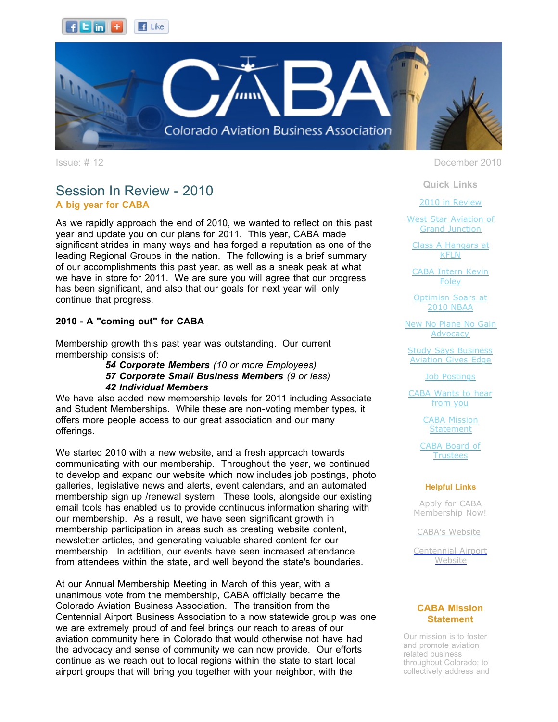



### Session In Review - 2010 **A big year for CABA**

As we rapidly approach the end of 2010, we wanted to reflect on this past year and update you on our plans for 2011. This year, CABA made significant strides in many ways and has forged a reputation as one of the leading Regional Groups in the nation. The following is a brief summary of our accomplishments this past year, as well as a sneak peak at what we have in store for 2011. We are sure you will agree that our progress has been significant, and also that our goals for next year will only continue that progress.

### **2010 - A "coming out" for CABA**

Membership growth this past year was outstanding. Our current membership consists of:

> *54 Corporate Members (10 or more Employees) 57 Corporate Small Business Members (9 or less) 42 Individual Members*

We have also added new membership levels for 2011 including Associate and Student Memberships. While these are non-voting member types, it offers more people access to our great association and our many offerings.

We started 2010 with a new website, and a fresh approach towards communicating with our membership. Throughout the year, we continued to develop and expand our website which now includes job postings, photo galleries, legislative news and alerts, event calendars, and an automated membership sign up /renewal system. These tools, alongside our existing email tools has enabled us to provide continuous information sharing with our membership. As a result, we have seen significant growth in membership participation in areas such as creating website content, newsletter articles, and generating valuable shared content for our membership. In addition, our events have seen increased attendance from attendees within the state, and well beyond the state's boundaries.

At our Annual Membership Meeting in March of this year, with a unanimous vote from the membership, CABA officially became the Colorado Aviation Business Association. The transition from the Centennial Airport Business Association to a now statewide group was one we are extremely proud of and feel brings our reach to areas of our aviation community here in Colorado that would otherwise not have had the advocacy and sense of community we can now provide. Our efforts continue as we reach out to local regions within the state to start local airport groups that will bring you together with your neighbor, with the

Issue: # 12 December 2010

**Quick Links**

[2010 in Review](https://ui.constantcontact.com/visualeditor/visual_editor_preview.jsp?agent.uid=1103704605804&format=html&printFrame=true#LETTER.BLOCK4)

[West Star Aviation of](https://ui.constantcontact.com/visualeditor/visual_editor_preview.jsp?agent.uid=1103704605804&format=html&printFrame=true#LETTER.BLOCK6) Grand Junction

[Class A Hangars at](https://ui.constantcontact.com/visualeditor/visual_editor_preview.jsp?agent.uid=1103704605804&format=html&printFrame=true#LETTER.BLOCK30) KFLN

[CABA Intern Kevin](https://ui.constantcontact.com/visualeditor/visual_editor_preview.jsp?agent.uid=1103704605804&format=html&printFrame=true#LETTER.BLOCK8) Foley

[Optimisn Soars at](https://ui.constantcontact.com/visualeditor/visual_editor_preview.jsp?agent.uid=1103704605804&format=html&printFrame=true#LETTER.BLOCK10) 2010 NBAA

[New No Plane No Gain](https://ui.constantcontact.com/visualeditor/visual_editor_preview.jsp?agent.uid=1103704605804&format=html&printFrame=true#LETTER.BLOCK12) **Advocacy** 

[Study Says Business](https://ui.constantcontact.com/visualeditor/visual_editor_preview.jsp?agent.uid=1103704605804&format=html&printFrame=true#LETTER.BLOCK14) Aviation Gives Edge

[Job Postings](https://ui.constantcontact.com/visualeditor/visual_editor_preview.jsp?agent.uid=1103704605804&format=html&printFrame=true#LETTER.BLOCK16)

[CABA Wants to hear](https://ui.constantcontact.com/visualeditor/visual_editor_preview.jsp?agent.uid=1103704605804&format=html&printFrame=true#LETTER.BLOCK18) from you

> [CABA Mission](https://ui.constantcontact.com/visualeditor/visual_editor_preview.jsp?agent.uid=1103704605804&format=html&printFrame=true#LETTER.BLOCK25) **Statement**

[CABA Board of](https://ui.constantcontact.com/visualeditor/visual_editor_preview.jsp?agent.uid=1103704605804&format=html&printFrame=true#LETTER.BLOCK27) **Trustees** 

#### **Helpful Links**

Apply for CABA [Membership Now!](http://r20.rs6.net/tn.jsp?llr=tkebgpcab&et=1103704605804&s=0&e=001od37uZmyCLbKyBXxa_m6TemJXU9A9imejB4yrjMRiBnNw-2vOAAl4HBINopxxEd5NojhC89hBhCMWLW67v6SMCnwWnm1sfM2j5mA8JoDLihz9dw8NOoHhXOBoDYAa6IjCA0xoSk50XEPzUWE2Kqxyw==)

[CABA's Website](http://r20.rs6.net/tn.jsp?llr=tkebgpcab&et=1103704605804&s=0&e=001od37uZmyCLbKyBXxa_m6TemJXU9A9imejB4yrjMRiBnNw-2vOAAl4HBINopxxEd5NojhC89hBhCMWLW67v6SMCnwWnm1sfM2j5mA8JoDLigo_m2-RQtw1w==)

[Centennial Airport](http://r20.rs6.net/tn.jsp?llr=tkebgpcab&et=1103704605804&s=0&e=001od37uZmyCLbKyBXxa_m6TemJXU9A9imejB4yrjMRiBnNw-2vOAAl4HBINopxxEd5NojhC89hBhCMWLW67v6SME_d4HQv1Ez9Xo5Ad1upGF1aD5dUodjaLMZRj0I-IKQP) Website

#### **CABA Mission Statement**

Our mission is to foster and promote aviation related business throughout Colorado; to collectively address and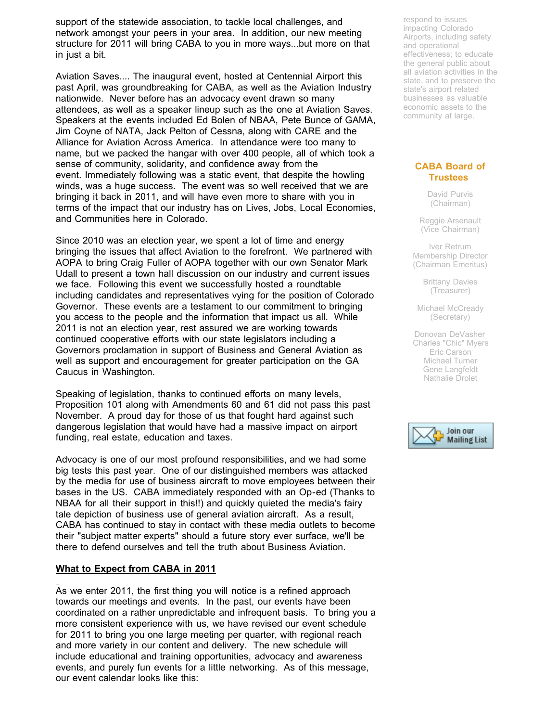support of the statewide association, to tackle local challenges, and network amongst your peers in your area. In addition, our new meeting structure for 2011 will bring CABA to you in more ways...but more on that in just a bit.

Aviation Saves.... The inaugural event, hosted at Centennial Airport this past April, was groundbreaking for CABA, as well as the Aviation Industry nationwide. Never before has an advocacy event drawn so many attendees, as well as a speaker lineup such as the one at Aviation Saves. Speakers at the events included Ed Bolen of NBAA, Pete Bunce of GAMA, Jim Coyne of NATA, Jack Pelton of Cessna, along with CARE and the Alliance for Aviation Across America. In attendance were too many to name, but we packed the hangar with over 400 people, all of which took a sense of community, solidarity, and confidence away from the event. Immediately following was a static event, that despite the howling winds, was a huge success. The event was so well received that we are bringing it back in 2011, and will have even more to share with you in terms of the impact that our industry has on Lives, Jobs, Local Economies, and Communities here in Colorado.

Since 2010 was an election year, we spent a lot of time and energy bringing the issues that affect Aviation to the forefront. We partnered with AOPA to bring Craig Fuller of AOPA together with our own Senator Mark Udall to present a town hall discussion on our industry and current issues we face. Following this event we successfully hosted a roundtable including candidates and representatives vying for the position of Colorado Governor. These events are a testament to our commitment to bringing you access to the people and the information that impact us all. While 2011 is not an election year, rest assured we are working towards continued cooperative efforts with our state legislators including a Governors proclamation in support of Business and General Aviation as well as support and encouragement for greater participation on the GA Caucus in Washington.

Speaking of legislation, thanks to continued efforts on many levels, Proposition 101 along with Amendments 60 and 61 did not pass this past November. A proud day for those of us that fought hard against such dangerous legislation that would have had a massive impact on airport funding, real estate, education and taxes.

Advocacy is one of our most profound responsibilities, and we had some big tests this past year. One of our distinguished members was attacked by the media for use of business aircraft to move employees between their bases in the US. CABA immediately responded with an Op-ed (Thanks to NBAA for all their support in this!!) and quickly quieted the media's fairy tale depiction of business use of general aviation aircraft. As a result, CABA has continued to stay in contact with these media outlets to become their "subject matter experts" should a future story ever surface, we'll be there to defend ourselves and tell the truth about Business Aviation.

#### **What to Expect from CABA in 2011**

As we enter 2011, the first thing you will notice is a refined approach towards our meetings and events. In the past, our events have been coordinated on a rather unpredictable and infrequent basis. To bring you a more consistent experience with us, we have revised our event schedule for 2011 to bring you one large meeting per quarter, with regional reach and more variety in our content and delivery. The new schedule will include educational and training opportunities, advocacy and awareness events, and purely fun events for a little networking. As of this message, our event calendar looks like this:

respond to issues impacting Colorado Airports, including safety and operational effectiveness; to educate the general public about all aviation activities in the state, and to preserve the state's airport related businesses as valuable economic assets to the community at large.

#### **CABA Board of Trustees**

David Purvis (Chairman)

Reggie Arsenault (Vice Chairman)

Iver Retrum Membership Director (Chairman Emeritus)

> Brittany Davies (Treasurer)

Michael McCready (Secretary)

Donovan DeVasher Charles "Chic" Myers Eric Carson Michael Turner Gene Langfeldt Nathalie Drolet

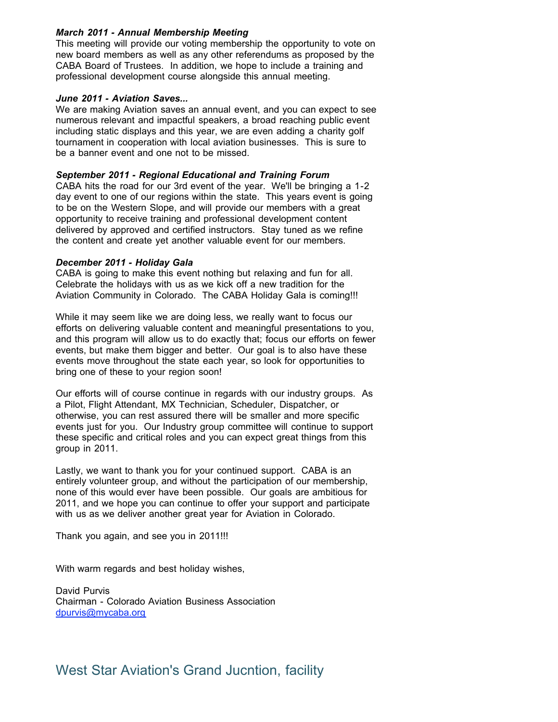### *March 2011 - Annual Membership Meeting*

This meeting will provide our voting membership the opportunity to vote on new board members as well as any other referendums as proposed by the CABA Board of Trustees. In addition, we hope to include a training and professional development course alongside this annual meeting.

#### *June 2011 - Aviation Saves...*

We are making Aviation saves an annual event, and you can expect to see numerous relevant and impactful speakers, a broad reaching public event including static displays and this year, we are even adding a charity golf tournament in cooperation with local aviation businesses. This is sure to be a banner event and one not to be missed.

#### *September 2011 - Regional Educational and Training Forum*

CABA hits the road for our 3rd event of the year. We'll be bringing a 1-2 day event to one of our regions within the state. This years event is going to be on the Western Slope, and will provide our members with a great opportunity to receive training and professional development content delivered by approved and certified instructors. Stay tuned as we refine the content and create yet another valuable event for our members.

#### *December 2011 - Holiday Gala*

CABA is going to make this event nothing but relaxing and fun for all. Celebrate the holidays with us as we kick off a new tradition for the Aviation Community in Colorado. The CABA Holiday Gala is coming!!!

While it may seem like we are doing less, we really want to focus our efforts on delivering valuable content and meaningful presentations to you, and this program will allow us to do exactly that; focus our efforts on fewer events, but make them bigger and better. Our goal is to also have these events move throughout the state each year, so look for opportunities to bring one of these to your region soon!

Our efforts will of course continue in regards with our industry groups. As a Pilot, Flight Attendant, MX Technician, Scheduler, Dispatcher, or otherwise, you can rest assured there will be smaller and more specific events just for you. Our Industry group committee will continue to support these specific and critical roles and you can expect great things from this group in 2011.

Lastly, we want to thank you for your continued support. CABA is an entirely volunteer group, and without the participation of our membership, none of this would ever have been possible. Our goals are ambitious for 2011, and we hope you can continue to offer your support and participate with us as we deliver another great year for Aviation in Colorado.

Thank you again, and see you in 2011!!!

With warm regards and best holiday wishes,

David Purvis Chairman - Colorado Aviation Business Association [dpurvis@mycaba.org](mailto:dpurvis@mycaba.org)

### West Star Aviation's Grand Jucntion, facility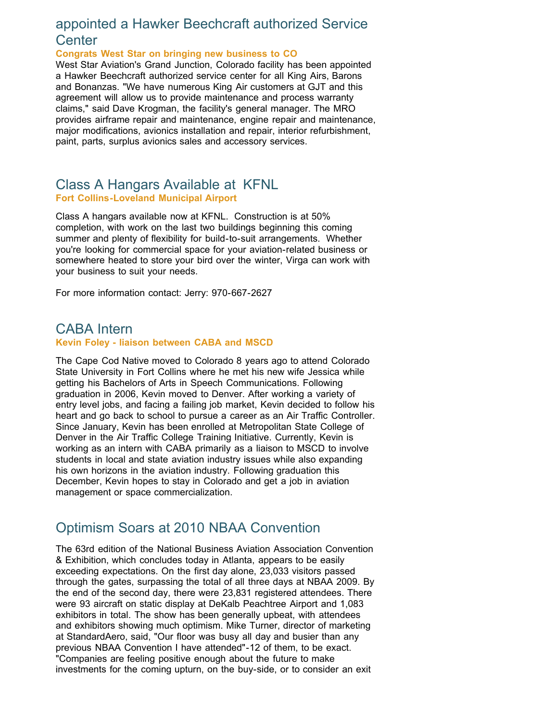### appointed a Hawker Beechcraft authorized Service **Center**

**Congrats West Star on bringing new business to CO**

West Star Aviation's Grand Junction, Colorado facility has been appointed a Hawker Beechcraft authorized service center for all King Airs, Barons and Bonanzas. "We have numerous King Air customers at GJT and this agreement will allow us to provide maintenance and process warranty claims," said Dave Krogman, the facility's general manager. The MRO provides airframe repair and maintenance, engine repair and maintenance, major modifications, avionics installation and repair, interior refurbishment, paint, parts, surplus avionics sales and accessory services.

### Class A Hangars Available at KFNL **Fort Collins-Loveland Municipal Airport**

Class A hangars available now at KFNL. Construction is at 50% completion, with work on the last two buildings beginning this coming summer and plenty of flexibility for build-to-suit arrangements. Whether you're looking for commercial space for your aviation-related business or somewhere heated to store your bird over the winter, Virga can work with your business to suit your needs.

For more information contact: Jerry: 970-667-2627

### CABA Intern **Kevin Foley - liaison between CABA and MSCD**

The Cape Cod Native moved to Colorado 8 years ago to attend Colorado State University in Fort Collins where he met his new wife Jessica while getting his Bachelors of Arts in Speech Communications. Following graduation in 2006, Kevin moved to Denver. After working a variety of entry level jobs, and facing a failing job market, Kevin decided to follow his heart and go back to school to pursue a career as an Air Traffic Controller. Since January, Kevin has been enrolled at Metropolitan State College of Denver in the Air Traffic College Training Initiative. Currently, Kevin is working as an intern with CABA primarily as a liaison to MSCD to involve students in local and state aviation industry issues while also expanding his own horizons in the aviation industry. Following graduation this December, Kevin hopes to stay in Colorado and get a job in aviation management or space commercialization.

# Optimism Soars at 2010 NBAA Convention

The 63rd edition of the National Business Aviation Association Convention & Exhibition, which concludes today in Atlanta, appears to be easily exceeding expectations. On the first day alone, 23,033 visitors passed through the gates, surpassing the total of all three days at NBAA 2009. By the end of the second day, there were 23,831 registered attendees. There were 93 aircraft on static display at DeKalb Peachtree Airport and 1,083 exhibitors in total. The show has been generally upbeat, with attendees and exhibitors showing much optimism. Mike Turner, director of marketing at StandardAero, said, "Our floor was busy all day and busier than any previous NBAA Convention I have attended"-12 of them, to be exact. "Companies are feeling positive enough about the future to make investments for the coming upturn, on the buy-side, or to consider an exit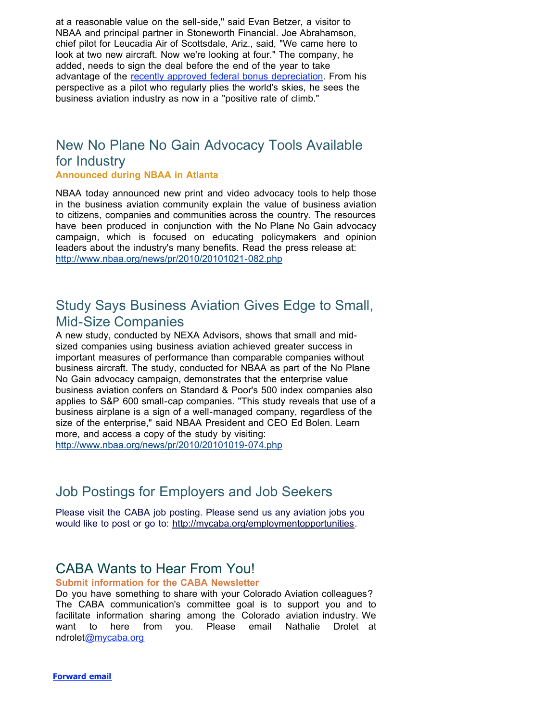at a reasonable value on the sell-side," said Evan Betzer, a visitor to NBAA and principal partner in Stoneworth Financial. Joe Abrahamson, chief pilot for Leucadia Air of Scottsdale, Ariz., said, "We came here to look at two new aircraft. Now we're looking at four." The company, he added, needs to sign the deal before the end of the year to take advantage of the [recently approved federal bonus depreciation.](http://r20.rs6.net/tn.jsp?llr=tkebgpcab&et=1103704605804&s=0&e=001od37uZmyCLbKyBXxa_m6TemJXU9A9imejB4yrjMRiBnNw-2vOAAl4HBINopxxEd5NojhC89hBhCMWLW67v6SMNshc0twoHhPf0mJC3H-JkezLEPdUY6VpLKE5GKI8tntRcApkHec9jmTOjU1MibOC4eiVqhsAY-j) From his perspective as a pilot who regularly plies the world's skies, he sees the business aviation industry as now in a "positive rate of climb."

# New No Plane No Gain Advocacy Tools Available for Industry

### **Announced during NBAA in Atlanta**

NBAA today announced new print and video advocacy tools to help those in the business aviation community explain the value of business aviation to citizens, companies and communities across the country. The resources have been produced in conjunction with the No Plane No Gain advocacy campaign, which is focused on educating policymakers and opinion leaders about the industry's many benefits. Read the press release at: [http://www.nbaa.org/news/pr/2010/20101021-082.php](http://r20.rs6.net/tn.jsp?llr=tkebgpcab&et=1103704605804&s=0&e=001od37uZmyCLbKyBXxa_m6TemJXU9A9imejB4yrjMRiBnNw-2vOAAl4HBINopxxEd5NojhC89hBhCMWLW67v6SMHyRGtsvq9UBzPdWZl3IuzIJarH2x-2HgfA9n803yWIJj-hy6Vvi9fqzOnZmjPgSoNAnXFZXDXNQ)

### Study Says Business Aviation Gives Edge to Small, Mid-Size Companies

A new study, conducted by NEXA Advisors, shows that small and midsized companies using business aviation achieved greater success in important measures of performance than comparable companies without business aircraft. The study, conducted for NBAA as part of the No Plane No Gain advocacy campaign, demonstrates that the enterprise value business aviation confers on Standard & Poor's 500 index companies also applies to S&P 600 small-cap companies. "This study reveals that use of a business airplane is a sign of a well-managed company, regardless of the size of the enterprise," said NBAA President and CEO Ed Bolen. Learn more, and access a copy of the study by visiting: [http://www.nbaa.org/news/pr/2010/20101019-074.php](http://r20.rs6.net/tn.jsp?llr=tkebgpcab&et=1103704605804&s=0&e=001od37uZmyCLbKyBXxa_m6TemJXU9A9imejB4yrjMRiBnNw-2vOAAl4HBINopxxEd5NojhC89hBhCMWLW67v6SMHyRGtsvq9UBzPdWZl3IuzIJarH2x-2HgfA9n803yWIJJ-rrq6igS5rvHZKcPhmK66vNO0Ay22Oo)

# Job Postings for Employers and Job Seekers

Please visit the CABA job posting. Please send us any aviation jobs you would like to post or go to: [http://mycaba.org/employmentopportunities](http://r20.rs6.net/tn.jsp?llr=tkebgpcab&et=1103704605804&s=0&e=001od37uZmyCLbKyBXxa_m6TemJXU9A9imejB4yrjMRiBnNw-2vOAAl4HBINopxxEd5NojhC89hBhBxo6B9_ZJDSXBs-TZCWL5drvhrZtqHNkXHdEnf4fydSVPTk-fsA6ZzCZ2bLcEnBT0=).

# CABA Wants to Hear From You!

### **Submit information for the CABA Newsletter**

Do you have something to share with your Colorado Aviation colleagues? The CABA communication's committee goal is to support you and to facilitate information sharing among the Colorado aviation industry. We want to here from you. Please email Nathalie Drolet at ndrolet[@mycaba.org](mailto:ndrolet@mycaba.org)